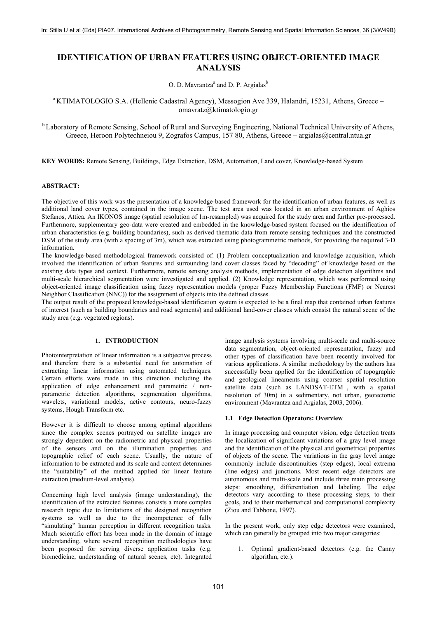# **IDENTIFICATION OF URBAN FEATURES USING OBJECT-ORIENTED IMAGE ANALYSIS**

O. D. Mavrantza<sup>a</sup> and D. P. Argialas<sup>b</sup>

## <sup>a</sup> KTIMATOLOGIO S.A. (Hellenic Cadastral Agency), Messogion Ave 339, Halandri, 15231, Athens, Greece – omavratz@ktimatologio.gr

<sup>b</sup> Laboratory of Remote Sensing, School of Rural and Surveying Engineering, National Technical University of Athens, Greece, Heroon Polytechneiou 9, Zografos Campus, 157 80, Athens, Greece – argialas@central.ntua.gr

**KEY WORDS:** Remote Sensing, Buildings, Edge Extraction, DSM, Automation, Land cover, Knowledge-based System

## **ABSTRACT:**

The objective of this work was the presentation of a knowledge-based framework for the identification of urban features, as well as additional land cover types, contained in the image scene. The test area used was located in an urban environment of Aghios Stefanos, Attica. An IKONOS image (spatial resolution of 1m-resampled) was acquired for the study area and further pre-processed. Furthermore, supplementary geo-data were created and embedded in the knowledge-based system focused on the identification of urban characteristics (e.g. building boundaries), such as derived thematic data from remote sensing techniques and the constructed DSM of the study area (with a spacing of 3m), which was extracted using photogrammetric methods, for providing the required 3-D information.

The knowledge-based methodological framework consisted of: (1) Problem conceptualization and knowledge acquisition, which involved the identification of urban features and surrounding land cover classes faced by "decoding" of knowledge based on the existing data types and context. Furthermore, remote sensing analysis methods, implementation of edge detection algorithms and multi-scale hierarchical segmentation were investigated and applied. (2) Knowledge representation, which was performed using object-oriented image classification using fuzzy representation models (proper Fuzzy Membership Functions (FMF) or Nearest Neighbor Classification (NNC)) for the assignment of objects into the defined classes.

The output result of the proposed knowledge-based identification system is expected to be a final map that contained urban features of interest (such as building boundaries and road segments) and additional land-cover classes which consist the natural scene of the study area (e.g. vegetated regions).

## **1. INTRODUCTION**

Photointerpretation of linear information is a subjective process and therefore there is a substantial need for automation of extracting linear information using automated techniques. Certain efforts were made in this direction including the application of edge enhancement and parametric / nonparametric detection algorithms, segmentation algorithms, wavelets, variational models, active contours, neuro-fuzzy systems, Hough Transform etc.

However it is difficult to choose among optimal algorithms since the complex scenes portrayed on satellite images are strongly dependent on the radiometric and physical properties of the sensors and on the illumination properties and topographic relief of each scene. Usually, the nature of information to be extracted and its scale and context determines the "suitability" of the method applied for linear feature extraction (medium-level analysis).

Concerning high level analysis (image understanding), the identification of the extracted features consists a more complex research topic due to limitations of the designed recognition systems as well as due to the incompetence of fully "simulating" human perception in different recognition tasks. Much scientific effort has been made in the domain of image understanding, where several recognition methodologies have been proposed for serving diverse application tasks (e.g. biomedicine, understanding of natural scenes, etc). Integrated

image analysis systems involving multi-scale and multi-source data segmentation, object-oriented representation, fuzzy and other types of classification have been recently involved for various applications. A similar methodology by the authors has successfully been applied for the identification of topographic and geological lineaments using coarser spatial resolution satellite data (such as LANDSAT-ETM+, with a spatial resolution of 30m) in a sedimentary, not urban, geotectonic environment (Mavrantza and Argialas, 2003, 2006).

#### **1.1 Edge Detection Operators: Overview**

In image processing and computer vision, edge detection treats the localization of significant variations of a gray level image and the identification of the physical and geometrical properties of objects of the scene. The variations in the gray level image commonly include discontinuities (step edges), local extrema (line edges) and junctions. Most recent edge detectors are autonomous and multi-scale and include three main processing steps: smoothing, differentiation and labeling. The edge detectors vary according to these processing steps, to their goals, and to their mathematical and computational complexity (Ziou and Tabbone, 1997).

In the present work, only step edge detectors were examined, which can generally be grouped into two major categories:

1. Optimal gradient-based detectors (e.g. the Canny algorithm, etc.).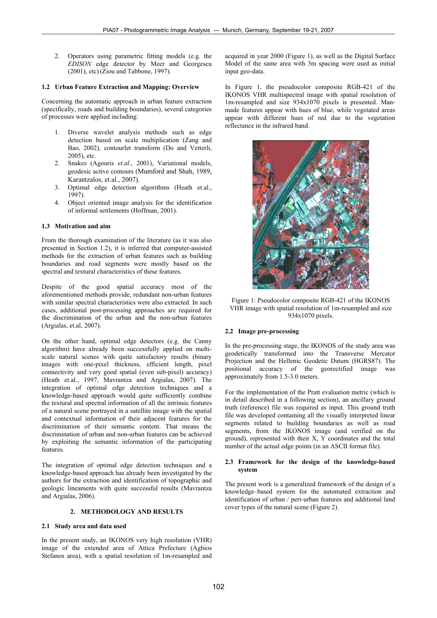2. Operators using parametric fitting models (e.g. the *EDISON* edge detector by Meer and Georgescu (2001), etc)(Ziou and Tabbone, 1997).

## **1.2 Urban Feature Extraction and Mapping: Overview**

Concerning the automatic approach in urban feature extraction (specifically, roads and building boundaries), several categories of processes were applied including:

- 1. Diverse wavelet analysis methods such as edge detection based on scale multiplication (Zang and Bao, 2002), contourlet transform (Do and Vetterli, 2005), etc.
- 2. Snakes (Agouris *et.al.*, 2001), Variational models, geodesic active contours (Mumford and Shah, 1989, Karantzalos, et.al., 2007).
- 3. Optimal edge detection algorithms (Heath et.al., 1997).
- 4. Object oriented image analysis for the identification of informal settlements (Hoffman, 2001).

#### **1.3 Motivation and aim**

From the thorough examination of the literature (as it was also presented in Section 1.2), it is inferred that computer-assisted methods for the extraction of urban features such as building boundaries and road segments were mostly based on the spectral and textural characteristics of these features.

Despite of the good spatial accuracy most of the aforementioned methods provide, redundant non-urban features with similar spectral characteristics were also extracted. In such cases, additional post-processing approaches are required for the discrimination of the urban and the non-urban features (Argialas, et.al, 2007).

On the other hand, optimal edge detectors (e.g. the Canny algorithm) have already been successfully applied on multiscale natural scenes with quite satisfactory results (binary images with one-pixel thickness, efficient length, pixel connectivity and very good spatial (even sub-pixel) accuracy) (Heath et.al., 1997, Mavrantza and Argialas, 2007). The integration of optimal edge detection techniques and a knowledge-based approach would quite sufficiently combine the textural and spectral information of all the intrinsic features of a natural scene portrayed in a satellite image with the spatial and contextual information of their adjacent features for the discrimination of their semantic content. That means the discrimination of urban and non-urban features can be achieved by exploiting the semantic information of the participating features.

The integration of optimal edge detection techniques and a knowledge-based approach has already been investigated by the authors for the extraction and identification of topographic and geologic lineaments with quite successful results (Mavrantza and Argialas, 2006).

## **2. METHODOLOGY AND RESULTS**

## **2.1 Study area and data used**

In the present study, an IKONOS very high resolution (VHR) image of the extended area of Attica Prefecture (Aghios Stefanos area), with a spatial resolution of 1m-resampled and acquired in year 2000 (Figure 1), as well as the Digital Surface Model of the same area with 3m spacing were used as initial input geo-data.

In Figure 1, the pseudocolor composite RGB-421 of the IKONOS VHR multispectral image with spatial resolution of 1m-resampled and size 934x1070 pixels is presented. Manmade features appear with hues of blue, while vegetated areas appear with different hues of red due to the vegetation reflectance in the infrared band.



Figure 1: Pseudocolor composite RGB-421 of the IKONOS VHR image with spatial resolution of 1m-resampled and size 934x1070 pixels.

#### **2.2 Image pre-processing**

In the pre-processing stage, the IKONOS of the study area was geodetically transformed into the Transverse Mercator Projection and the Hellenic Geodetic Datum (HGRS87). The positional accuracy of the georectified image was approximately from 1.5-3.0 meters.

For the implementation of the Pratt evaluation metric (which is in detail described in a following section), an ancillary ground truth (reference) file was required as input. This ground truth file was developed containing all the visually interpreted linear segments related to building boundaries as well as road segments, from the IKONOS image (and verified on the ground), represented with their X, Y coordinates and the total number of the actual edge points (in an ASCII format file).

#### **2.3 Framework for the design of the knowledge-based system**

The present work is a generalized framework of the design of a knowledge–based system for the automated extraction and identification of urban / peri-urban features and additional land cover types of the natural scene (Figure 2).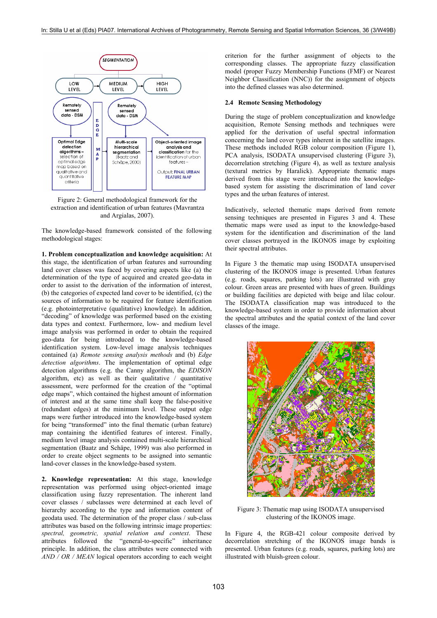

Figure 2: General methodological framework for the extraction and identification of urban features (Mavrantza and Argialas, 2007).

The knowledge-based framework consisted of the following methodological stages:

**1. Problem conceptualization and knowledge acquisition:** At this stage, the identification of urban features and surrounding land cover classes was faced by covering aspects like (a) the determination of the type of acquired and created geo-data in order to assist to the derivation of the information of interest, (b) the categories of expected land cover to be identified, (c) the sources of information to be required for feature identification (e.g. photointerpretative (qualitative) knowledge). In addition, "decoding" of knowledge was performed based on the existing data types and context. Furthermore, low- and medium level image analysis was performed in order to obtain the required geo-data for being introduced to the knowledge-based identification system. Low-level image analysis techniques contained (a) *Remote sensing analysis methods* and (b) *Edge detection algorithms*. The implementation of optimal edge detection algorithms (e.g. the Canny algorithm, the *EDISON* algorithm, etc) as well as their qualitative / quantitative assessment, were performed for the creation of the "optimal edge maps", which contained the highest amount of information of interest and at the same time shall keep the false-positive (redundant edges) at the minimum level. These output edge maps were further introduced into the knowledge-based system for being "transformed" into the final thematic (urban feature) map containing the identified features of interest. Finally, medium level image analysis contained multi-scale hierarchical segmentation (Baatz and Schäpe, 1999) was also performed in order to create object segments to be assigned into semantic land-cover classes in the knowledge-based system.

**2. Knowledge representation:** At this stage, knowledge representation was performed using object-oriented image classification using fuzzy representation. The inherent land cover classes / subclasses were determined at each level of hierarchy according to the type and information content of geodata used. The determination of the proper class / sub-class attributes was based on the following intrinsic image properties: *spectral, geometric, spatial relation and context*. These attributes followed the "general-to-specific" inheritance principle. In addition, the class attributes were connected with *AND / OR / MEAN* logical operators according to each weight

criterion for the further assignment of objects to the corresponding classes. The appropriate fuzzy classification model (proper Fuzzy Membership Functions (FMF) or Nearest Neighbor Classification (NNC)) for the assignment of objects into the defined classes was also determined.

#### **2.4 Remote Sensing Methodology**

During the stage of problem conceptualization and knowledge acquisition, Remote Sensing methods and techniques were applied for the derivation of useful spectral information concerning the land cover types inherent in the satellite images. These methods included RGB colour composition (Figure 1), PCA analysis, ISODATA unsupervised clustering (Figure 3), decorrelation stretching (Figure 4), as well as texture analysis (textural metrics by Haralick). Appropriate thematic maps derived from this stage were introduced into the knowledgebased system for assisting the discrimination of land cover types and the urban features of interest.

Indicatively, selected thematic maps derived from remote sensing techniques are presented in Figures 3 and 4. These thematic maps were used as input to the knowledge-based system for the identification and discrimination of the land cover classes portrayed in the IKONOS image by exploiting their spectral attributes.

In Figure 3 the thematic map using ISODATA unsupervised clustering of the IKONOS image is presented. Urban features (e.g. roads, squares, parking lots) are illustrated with gray colour. Green areas are presented with hues of green. Buildings or building facilities are depicted with beige and lilac colour. The ISODATA classification map was introduced to the knowledge-based system in order to provide information about the spectral attributes and the spatial context of the land cover classes of the image.



Figure 3: Thematic map using ISODATA unsupervised clustering of the IKONOS image.

In Figure 4, the RGB-421 colour composite derived by decorrelation stretching of the IKONOS image bands is presented. Urban features (e.g. roads, squares, parking lots) are illustrated with bluish-green colour.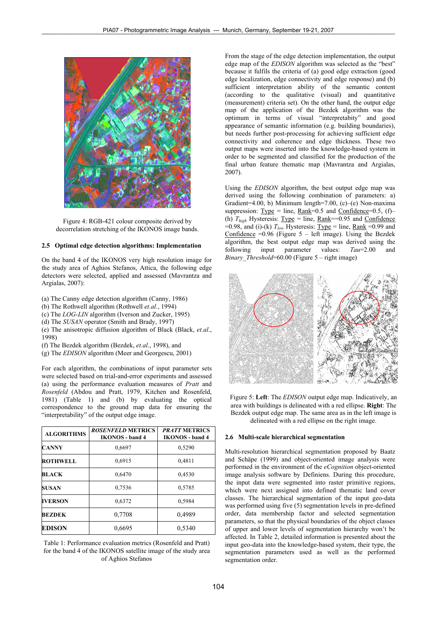

Figure 4: RGB-421 colour composite derived by decorrelation stretching of the IKONOS image bands.

#### **2.5 Optimal edge detection algorithms: Implementation**

On the band 4 of the IKONOS very high resolution image for the study area of Aghios Stefanos, Attica, the following edge detectors were selected, applied and assessed (Mavrantza and Argialas, 2007):

- (a) The Canny edge detection algorithm (Canny, 1986)
- (b) The Rothwell algorithm (Rothwell *et.al.*, 1994)
- (c) The *LOG-LIN* algorithm (Iverson and Zucker, 1995)
- (d) The *SUSAN* operator (Smith and Brady, 1997)
- (e) The anisotropic diffusion algorithm of Black (Black, *et.al*., 1998)
- (f) The Bezdek algorithm (Bezdek, *et.al*., 1998), and
- (g) The *EDISON* algorithm (Meer and Georgescu, 2001)

For each algorithm, the combinations of input parameter sets were selected based on trial-and-error experiments and assessed (a) using the performance evaluation measures of *Pratt* and *Rosenfeld* (Abdou and Pratt, 1979, Kitchen and Rosenfeld, 1981) (Table 1) and (b) by evaluating the optical correspondence to the ground map data for ensuring the "interpretability" of the output edge image.

| <b>ALGORITHMS</b> | <b>ROSENFELD METRICS</b><br><b>IKONOS</b> - band 4 | <b>PRATT METRICS</b><br><b>IKONOS</b> - band 4<br>0,5290 |  |  |
|-------------------|----------------------------------------------------|----------------------------------------------------------|--|--|
| <b>CANNY</b>      | 0,6697                                             |                                                          |  |  |
| <b>ROTHWELL</b>   | 0.6915                                             | 0,4811                                                   |  |  |
| <b>BLACK</b>      | 0,6470                                             | 0,4530                                                   |  |  |
| <b>SUSAN</b>      | 0,7536                                             | 0.5785                                                   |  |  |
| <b>IVERSON</b>    | 0,6372                                             | 0,5984                                                   |  |  |
| <b>BEZDEK</b>     | 0,7708                                             | 0,4989                                                   |  |  |
| <b>EDISON</b>     | 0,6695                                             | 0,5340                                                   |  |  |

Table 1: Performance evaluation metrics (Rosenfeld and Pratt) for the band 4 of the IKONOS satellite image of the study area of Aghios Stefanos

From the stage of the edge detection implementation, the output edge map of the *EDISON* algorithm was selected as the "best" because it fulfils the criteria of (a) good edge extraction (good edge localization, edge connectivity and edge response) and (b) sufficient interpretation ability of the semantic content (according to the qualitative (visual) and quantitative (measurement) criteria set). On the other hand, the output edge map of the application of the Bezdek algorithm was the optimum in terms of visual "interpretabity" and good appearance of semantic information (e.g. building boundaries), but needs further post-processing for achieving sufficient edge connectivity and coherence and edge thickness. These two output maps were inserted into the knowledge-based system in order to be segmented and classified for the production of the final urban feature thematic map (Mavrantza and Argialas, 2007).

Using the *EDISON* algorithm, the best output edge map was derived using the following combination of parameters: a) Gradient=4.00, b) Minimum length=7.00, (c)–(e) Non-maxima suppression:  $Type = line$ ,  $Rank=0.5$  and  $Confidence=0.5$ , (f)-(h)  $T_{high}$  Hysteresis: <u>Type</u> = line, <u>Rank</u>==0.95 and <u>Confidence</u> =0.98, and (i)-(k)  $T_{low}$  Hysteresis: <u>Type</u> = line, <u>Rank</u> =0.99 and Confidence  $=0.96$  (Figure  $5$  – left image). Using the Bezdek algorithm, the best output edge map was derived using the following input parameter values: *Tau*=2.00 and *Binary Threshold*=60.00 (Figure 5 – right image)



Figure 5: **Left**: The *EDISON* output edge map. Indicatively, an area with buildings is delineated with a red ellipse. **Right**: The Bezdek output edge map. The same area as in the left image is delineated with a red ellipse on the right image.

#### **2.6 Multi-scale hierarchical segmentation**

Multi-resolution hierarchical segmentation proposed by Baatz and Schäpe (1999) and object-oriented image analysis were performed in the environment of the *eCognition* object-oriented image analysis software by Definiens. During this procedure, the input data were segmented into raster primitive regions, which were next assigned into defined thematic land cover classes. The hierarchical segmentation of the input geo-data was performed using five (5) segmentation levels in pre-defined order, data membership factor and selected segmentation parameters, so that the physical boundaries of the object classes of upper and lower levels of segmentation hierarchy won't be affected. In Table 2, detailed information is presented about the input geo-data into the knowledge-based system, their type, the segmentation parameters used as well as the performed segmentation order.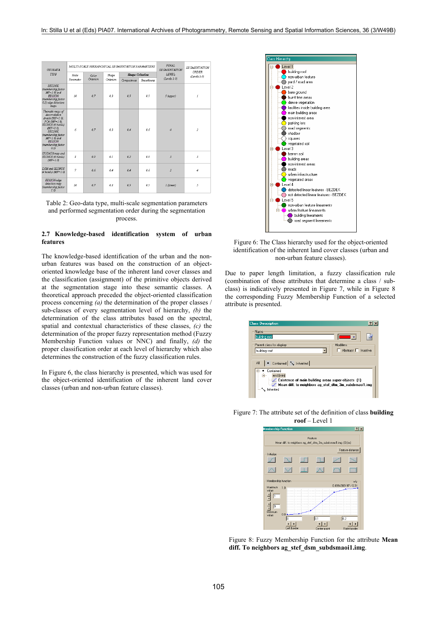| <b>GEODATA</b>                                                                                                                                                                                                      |           | MULTI-SCALE HIERARCHICAL SEGMENTATION PARAMETERS |           | FINAL.<br><b>SEGMENTATION</b><br><b>SEGMENTATION</b><br>ORDER |            |                        |                         |
|---------------------------------------------------------------------------------------------------------------------------------------------------------------------------------------------------------------------|-----------|--------------------------------------------------|-----------|---------------------------------------------------------------|------------|------------------------|-------------------------|
| <b>TYPE</b>                                                                                                                                                                                                         | Scale     | Color                                            | Shape     | <b>Shape Criterion</b>                                        |            | LEVEL.<br>(Levels 1-5) | (Levels 1-5)            |
|                                                                                                                                                                                                                     | Parameter | Citerion                                         | Criterion | Compactness                                                   | Smoothneer |                        |                         |
| <b>BEZDEK</b><br>(membership factor<br>$MF=1.0$ and<br><b>EDISON</b><br>(membership factor<br>0.5) edge detection<br>maps                                                                                           | 10        | 07                                               | 0.3       | 0.5                                                           | 0.5        | 5 (upper)              | Í                       |
| Thematic maps of<br>decorrelation<br>stretch (MF=1.0).<br>PCA (MF=1.0).<br>IKONOS (4 bands)<br>$(MF=1.0)$ .<br><b>BEZDEK</b><br>(membership factor<br>$MF=1.0$ ) and<br><b>EDISON</b><br>(membership factor<br>0.5) | 6         | 07                                               | 0.3       | 0.4                                                           | 0.6        | $\boldsymbol{4}$       | $\overline{\mathbf{z}}$ |
| ISODATA map and<br>IKONOS (4 bands)<br>$(MF=1.0)$                                                                                                                                                                   | 3         | 09                                               | 01        | 0.2                                                           | 0.8        | $\hat{A}$              | 3                       |
| DSM and IKONOS<br>(4 bands) (MF=1.0)                                                                                                                                                                                | 7         | 0 <sub>6</sub>                                   | 04        | 04                                                            | 0.6        | $\overline{2}$         | 4                       |
| EDISON edge<br>detection map<br>(membership factor<br>1.01                                                                                                                                                          | 10        | 0.7                                              | 0.3       | 0.5                                                           | 0.5        | 1 (lower)              | 5                       |

Table 2: Geo-data type, multi-scale segmentation parameters and performed segmentation order during the segmentation process.

#### **2.7 Knowledge-based identification system of urban features**

The knowledge-based identification of the urban and the nonurban features was based on the construction of an objectoriented knowledge base of the inherent land cover classes and the classification (assignment) of the primitive objects derived at the segmentation stage into these semantic classes. A theoretical approach preceded the object-oriented classification process concerning *(a)* the determination of the proper classes / sub-classes of every segmentation level of hierarchy, *(b)* the determination of the class attributes based on the spectral, spatial and contextual characteristics of these classes, *(c)* the determination of the proper fuzzy representation method (Fuzzy Membership Function values or NNC) and finally, *(d)* the proper classification order at each level of hierarchy which also determines the construction of the fuzzy classification rules.

In Figure 6, the class hierarchy is presented, which was used for the object-oriented identification of the inherent land cover classes (urban and non-urban feature classes).



Figure 6: The Class hierarchy used for the object-oriented identification of the inherent land cover classes (urban and non-urban feature classes).

Due to paper length limitation, a fuzzy classification rule (combination of those attributes that determine a class / subclass) is indicatively presented in Figure 7, while in Figure 8 the corresponding Fuzzy Membership Function of a selected attribute is presented.

| <b>Class Description</b>                                                                                                                                                                    |
|---------------------------------------------------------------------------------------------------------------------------------------------------------------------------------------------|
| Name<br>building roof<br>$\blacksquare$<br>Modifiers<br>Parent class for display                                                                                                            |
| $\Box$ Abstract $\Box$ Inactive<br>building roof                                                                                                                                            |
| Contained   My Inherited<br>All<br>Contained<br>and [min]<br>Ė.<br>Existence of main building areas super-objects [1]<br>Mean diff. to neighbors ag_stef_dtm_3m_subdsmaoi1.img<br>innerited |

Figure 7: The attribute set of the definition of class **building roof** – Level 1



Figure 8: Fuzzy Membership Function for the attribute **Mean diff. To neighbors ag\_stef\_dsm\_subdsmaoi1.img**.